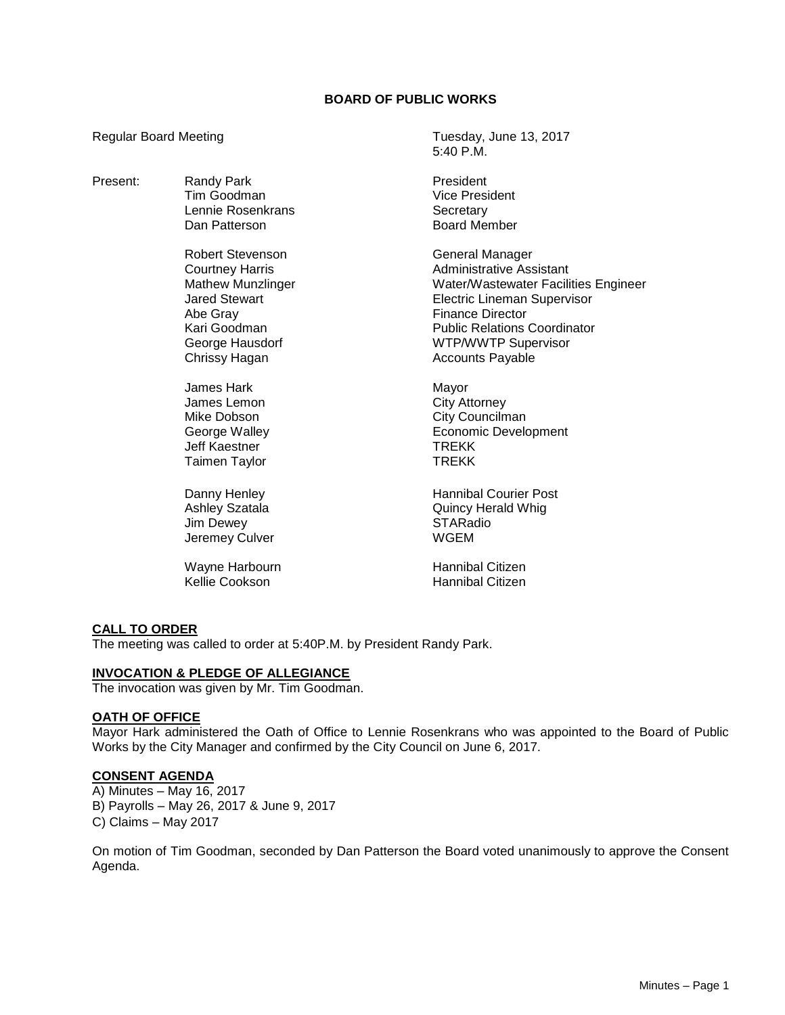# **BOARD OF PUBLIC WORKS**

5:40 P.M.

Regular Board Meeting Tuesday, June 13, 2017

Present: Randy Park President Tim Goodman **Vice President** Lennie Rosenkrans and Secretary<br>
Dan Patterson and Secretary<br>
Dan Patterson Board Member Robert Stevenson General Manager Courtney Harris **Administrative Assistant** Mathew Munzlinger Water/Wastewater Facilities Engineer Jared Stewart Electric Lineman Supervisor Abe Gray **Finance Director** Kari Goodman Public Relations Coordinator George Hausdorf WTP/WWTP Supervisor Chrissy Hagan **Accounts Payable** Accounts Payable James Hark Mayor James Lemon City Attorney Mike Dobson City Councilman<br>
George Walley Contract Contract Council Cevel Economic Development Jeff Kaestner TREKK Taimen Taylor **TREKK** Danny Henley **Hannibal Courier Post** Ashley Szatala **Ashley Szatala** Quincy Herald Whig Jim Dewey **STARadio** Jeremey Culver Note and MCEM Wayne Harbourn **Hannibal Citizen** Kellie Cookson **Hannibal Citizen** 

# **CALL TO ORDER**

The meeting was called to order at 5:40P.M. by President Randy Park.

#### **INVOCATION & PLEDGE OF ALLEGIANCE**

The invocation was given by Mr. Tim Goodman.

### **OATH OF OFFICE**

Mayor Hark administered the Oath of Office to Lennie Rosenkrans who was appointed to the Board of Public Works by the City Manager and confirmed by the City Council on June 6, 2017.

#### **CONSENT AGENDA**

A) Minutes – May 16, 2017 B) Payrolls – May 26, 2017 & June 9, 2017 C) Claims – May 2017

On motion of Tim Goodman, seconded by Dan Patterson the Board voted unanimously to approve the Consent Agenda.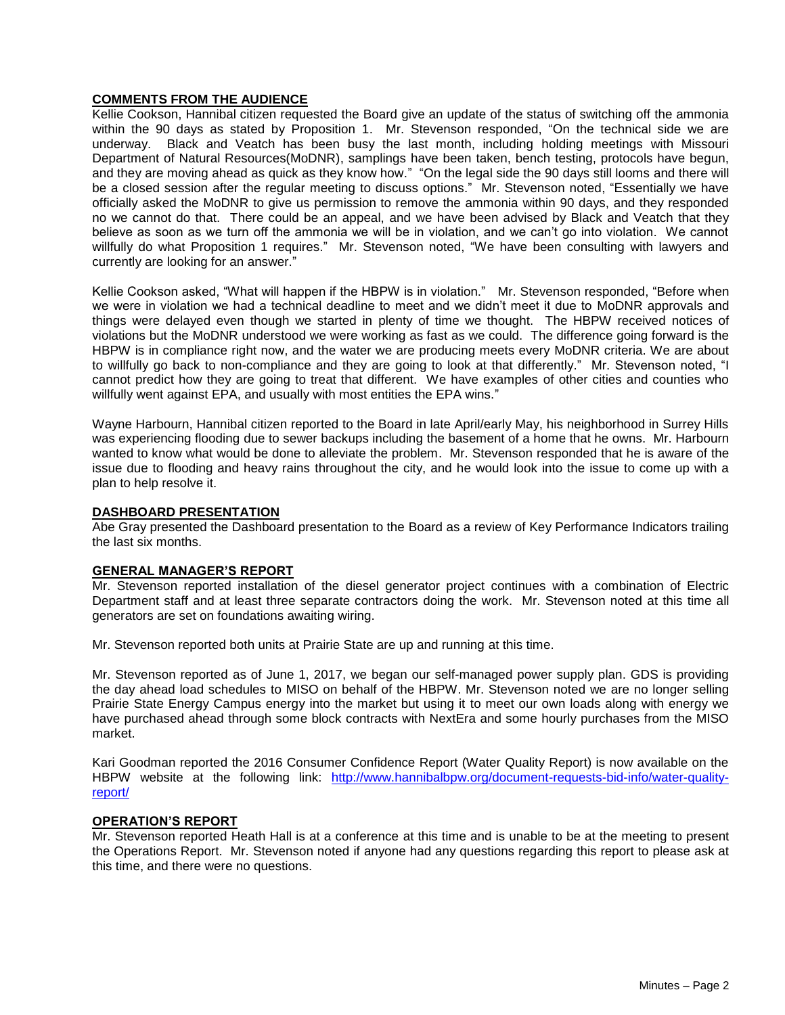# **COMMENTS FROM THE AUDIENCE**

Kellie Cookson, Hannibal citizen requested the Board give an update of the status of switching off the ammonia within the 90 days as stated by Proposition 1. Mr. Stevenson responded, "On the technical side we are underway. Black and Veatch has been busy the last month, including holding meetings with Missouri Department of Natural Resources(MoDNR), samplings have been taken, bench testing, protocols have begun, and they are moving ahead as quick as they know how." "On the legal side the 90 days still looms and there will be a closed session after the regular meeting to discuss options." Mr. Stevenson noted, "Essentially we have officially asked the MoDNR to give us permission to remove the ammonia within 90 days, and they responded no we cannot do that. There could be an appeal, and we have been advised by Black and Veatch that they believe as soon as we turn off the ammonia we will be in violation, and we can't go into violation. We cannot willfully do what Proposition 1 requires." Mr. Stevenson noted, "We have been consulting with lawyers and currently are looking for an answer."

Kellie Cookson asked, "What will happen if the HBPW is in violation." Mr. Stevenson responded, "Before when we were in violation we had a technical deadline to meet and we didn't meet it due to MoDNR approvals and things were delayed even though we started in plenty of time we thought. The HBPW received notices of violations but the MoDNR understood we were working as fast as we could. The difference going forward is the HBPW is in compliance right now, and the water we are producing meets every MoDNR criteria. We are about to willfully go back to non-compliance and they are going to look at that differently." Mr. Stevenson noted, "I cannot predict how they are going to treat that different. We have examples of other cities and counties who willfully went against EPA, and usually with most entities the EPA wins."

Wayne Harbourn, Hannibal citizen reported to the Board in late April/early May, his neighborhood in Surrey Hills was experiencing flooding due to sewer backups including the basement of a home that he owns. Mr. Harbourn wanted to know what would be done to alleviate the problem. Mr. Stevenson responded that he is aware of the issue due to flooding and heavy rains throughout the city, and he would look into the issue to come up with a plan to help resolve it.

# **DASHBOARD PRESENTATION**

Abe Gray presented the Dashboard presentation to the Board as a review of Key Performance Indicators trailing the last six months.

# **GENERAL MANAGER'S REPORT**

Mr. Stevenson reported installation of the diesel generator project continues with a combination of Electric Department staff and at least three separate contractors doing the work. Mr. Stevenson noted at this time all generators are set on foundations awaiting wiring.

Mr. Stevenson reported both units at Prairie State are up and running at this time.

Mr. Stevenson reported as of June 1, 2017, we began our self-managed power supply plan. GDS is providing the day ahead load schedules to MISO on behalf of the HBPW. Mr. Stevenson noted we are no longer selling Prairie State Energy Campus energy into the market but using it to meet our own loads along with energy we have purchased ahead through some block contracts with NextEra and some hourly purchases from the MISO market.

Kari Goodman reported the 2016 Consumer Confidence Report (Water Quality Report) is now available on the HBPW website at the following link: [http://www.hannibalbpw.org/document-requests-bid-info/water-quality](http://www.hannibalbpw.org/document-requests-bid-info/water-quality-report/)[report/](http://www.hannibalbpw.org/document-requests-bid-info/water-quality-report/)

# **OPERATION'S REPORT**

Mr. Stevenson reported Heath Hall is at a conference at this time and is unable to be at the meeting to present the Operations Report. Mr. Stevenson noted if anyone had any questions regarding this report to please ask at this time, and there were no questions.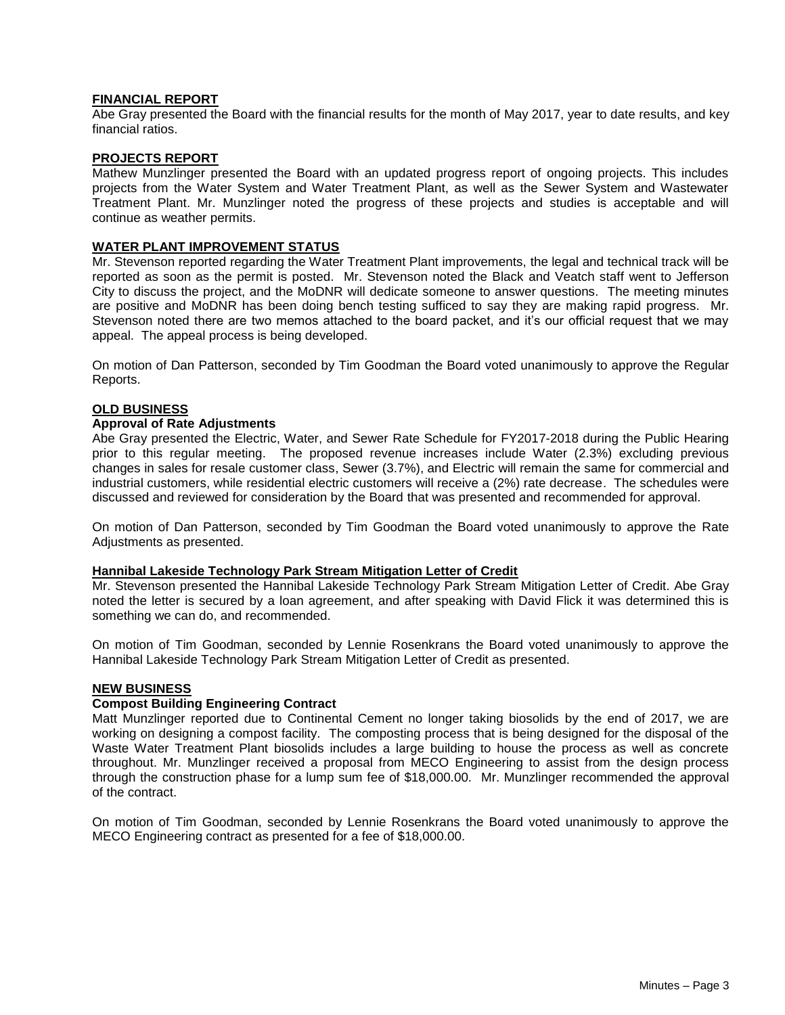### **FINANCIAL REPORT**

Abe Gray presented the Board with the financial results for the month of May 2017, year to date results, and key financial ratios.

### **PROJECTS REPORT**

Mathew Munzlinger presented the Board with an updated progress report of ongoing projects. This includes projects from the Water System and Water Treatment Plant, as well as the Sewer System and Wastewater Treatment Plant. Mr. Munzlinger noted the progress of these projects and studies is acceptable and will continue as weather permits.

### **WATER PLANT IMPROVEMENT STATUS**

Mr. Stevenson reported regarding the Water Treatment Plant improvements, the legal and technical track will be reported as soon as the permit is posted. Mr. Stevenson noted the Black and Veatch staff went to Jefferson City to discuss the project, and the MoDNR will dedicate someone to answer questions. The meeting minutes are positive and MoDNR has been doing bench testing sufficed to say they are making rapid progress. Mr. Stevenson noted there are two memos attached to the board packet, and it's our official request that we may appeal. The appeal process is being developed.

On motion of Dan Patterson, seconded by Tim Goodman the Board voted unanimously to approve the Regular Reports.

### **OLD BUSINESS**

#### **Approval of Rate Adjustments**

Abe Gray presented the Electric, Water, and Sewer Rate Schedule for FY2017-2018 during the Public Hearing prior to this regular meeting. The proposed revenue increases include Water (2.3%) excluding previous changes in sales for resale customer class, Sewer (3.7%), and Electric will remain the same for commercial and industrial customers, while residential electric customers will receive a (2%) rate decrease. The schedules were discussed and reviewed for consideration by the Board that was presented and recommended for approval.

On motion of Dan Patterson, seconded by Tim Goodman the Board voted unanimously to approve the Rate Adjustments as presented.

#### **Hannibal Lakeside Technology Park Stream Mitigation Letter of Credit**

Mr. Stevenson presented the Hannibal Lakeside Technology Park Stream Mitigation Letter of Credit. Abe Gray noted the letter is secured by a loan agreement, and after speaking with David Flick it was determined this is something we can do, and recommended.

On motion of Tim Goodman, seconded by Lennie Rosenkrans the Board voted unanimously to approve the Hannibal Lakeside Technology Park Stream Mitigation Letter of Credit as presented.

### **NEW BUSINESS**

### **Compost Building Engineering Contract**

Matt Munzlinger reported due to Continental Cement no longer taking biosolids by the end of 2017, we are working on designing a compost facility. The composting process that is being designed for the disposal of the Waste Water Treatment Plant biosolids includes a large building to house the process as well as concrete throughout. Mr. Munzlinger received a proposal from MECO Engineering to assist from the design process through the construction phase for a lump sum fee of \$18,000.00. Mr. Munzlinger recommended the approval of the contract.

On motion of Tim Goodman, seconded by Lennie Rosenkrans the Board voted unanimously to approve the MECO Engineering contract as presented for a fee of \$18,000.00.